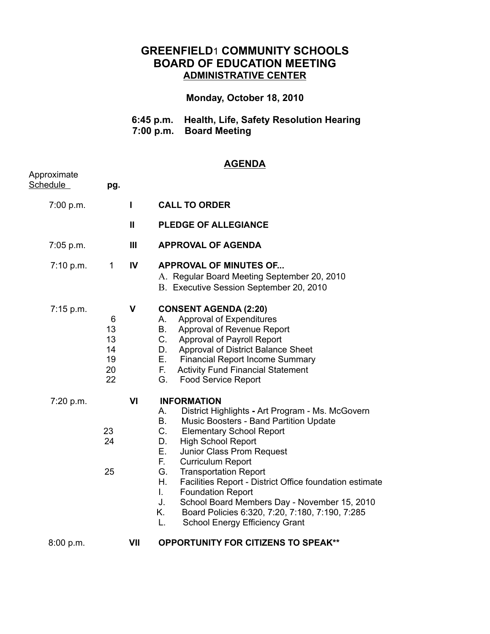## **GREENFIELD**1 **COMMUNITY SCHOOLS BOARD OF EDUCATION MEETING ADMINISTRATIVE CENTER**

## **Monday, October 18, 2010**

| 6:45 p.m. Health, Life, Safety Resolution Hearing |
|---------------------------------------------------|
| 7:00 p.m. Board Meeting                           |

## **AGENDA**

| Approximate<br>Schedule | pg.                                   |             |                                                                                                                                                                                                                                                                                                                                                                                                                                                                                                                                                                                                       |
|-------------------------|---------------------------------------|-------------|-------------------------------------------------------------------------------------------------------------------------------------------------------------------------------------------------------------------------------------------------------------------------------------------------------------------------------------------------------------------------------------------------------------------------------------------------------------------------------------------------------------------------------------------------------------------------------------------------------|
| 7:00 p.m.               |                                       | I.          | <b>CALL TO ORDER</b>                                                                                                                                                                                                                                                                                                                                                                                                                                                                                                                                                                                  |
|                         |                                       | Ш           | <b>PLEDGE OF ALLEGIANCE</b>                                                                                                                                                                                                                                                                                                                                                                                                                                                                                                                                                                           |
| $7:05$ p.m.             |                                       | Ш           | <b>APPROVAL OF AGENDA</b>                                                                                                                                                                                                                                                                                                                                                                                                                                                                                                                                                                             |
| 7:10 p.m.               | $1 \quad$                             | IV          | <b>APPROVAL OF MINUTES OF</b><br>A. Regular Board Meeting September 20, 2010<br>B. Executive Session September 20, 2010                                                                                                                                                                                                                                                                                                                                                                                                                                                                               |
| 7:15 p.m.               | 6<br>13<br>13<br>14<br>19<br>20<br>22 | $\mathbf v$ | <b>CONSENT AGENDA (2:20)</b><br><b>Approval of Expenditures</b><br>А.<br>В.<br>Approval of Revenue Report<br>$C_{-}$<br><b>Approval of Payroll Report</b><br>Approval of District Balance Sheet<br>D.<br>E.,<br><b>Financial Report Income Summary</b><br>Е.<br><b>Activity Fund Financial Statement</b><br>G.<br><b>Food Service Report</b>                                                                                                                                                                                                                                                          |
| 7:20 p.m.               | 23<br>24<br>25                        | VI          | <b>INFORMATION</b><br>District Highlights - Art Program - Ms. McGovern<br>А.<br><b>B.</b><br>Music Boosters - Band Partition Update<br>$C_{\cdot}$<br><b>Elementary School Report</b><br><b>High School Report</b><br>D.<br>Junior Class Prom Request<br>Е.<br>F.,<br><b>Curriculum Report</b><br>G.<br><b>Transportation Report</b><br>Η.<br>Facilities Report - District Office foundation estimate<br>L.<br><b>Foundation Report</b><br>J.<br>School Board Members Day - November 15, 2010<br>Board Policies 6:320, 7:20, 7:180, 7:190, 7:285<br>Κ.<br>L.<br><b>School Energy Efficiency Grant</b> |
| 8:00 p.m.               |                                       | VII         | <b>OPPORTUNITY FOR CITIZENS TO SPEAK**</b>                                                                                                                                                                                                                                                                                                                                                                                                                                                                                                                                                            |